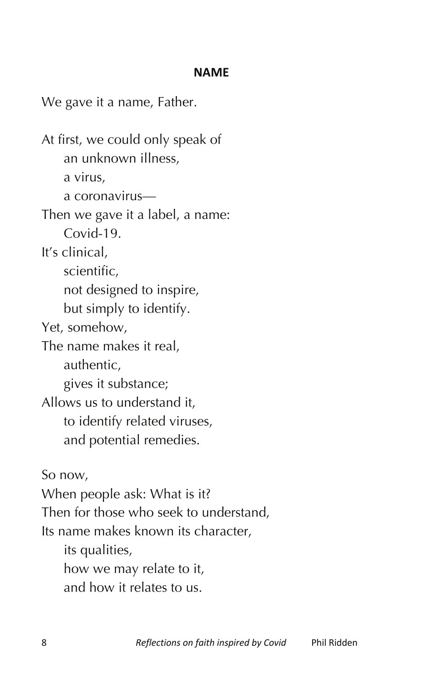## **NAME**

We gave it a name, Father.

At first, we could only speak of an unknown illness, a virus, a coronavirus— Then we gave it a label, a name: Covid-19. It's clinical, scientific, not designed to inspire, but simply to identify. Yet, somehow, The name makes it real, authentic, gives it substance; Allows us to understand it, to identify related viruses, and potential remedies. So now, When people ask: What is it? Then for those who seek to understand, Its name makes known its character, its qualities,

how we may relate to it, and how it relates to us.